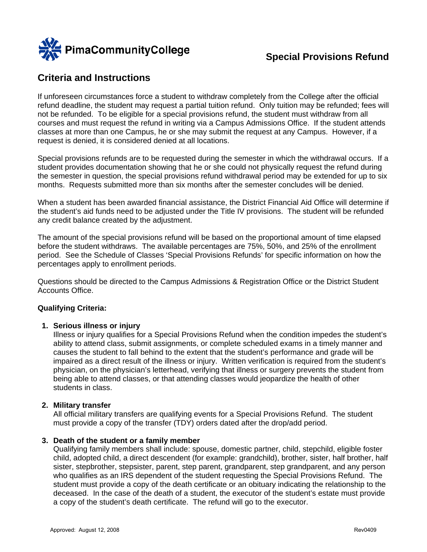

# **Criteria and Instructions**

If unforeseen circumstances force a student to withdraw completely from the College after the official refund deadline, the student may request a partial tuition refund. Only tuition may be refunded; fees will not be refunded. To be eligible for a special provisions refund, the student must withdraw from all courses and must request the refund in writing via a Campus Admissions Office. If the student attends classes at more than one Campus, he or she may submit the request at any Campus. However, if a request is denied, it is considered denied at all locations.

Special provisions refunds are to be requested during the semester in which the withdrawal occurs. If a student provides documentation showing that he or she could not physically request the refund during the semester in question, the special provisions refund withdrawal period may be extended for up to six months. Requests submitted more than six months after the semester concludes will be denied.

When a student has been awarded financial assistance, the District Financial Aid Office will determine if the student's aid funds need to be adjusted under the Title IV provisions. The student will be refunded any credit balance created by the adjustment.

The amount of the special provisions refund will be based on the proportional amount of time elapsed before the student withdraws. The available percentages are 75%, 50%, and 25% of the enrollment period. See the Schedule of Classes 'Special Provisions Refunds' for specific information on how the percentages apply to enrollment periods.

Questions should be directed to the Campus Admissions & Registration Office or the District Student Accounts Office.

### **Qualifying Criteria:**

### **1. Serious illness or injury**

Illness or injury qualifies for a Special Provisions Refund when the condition impedes the student's ability to attend class, submit assignments, or complete scheduled exams in a timely manner and causes the student to fall behind to the extent that the student's performance and grade will be impaired as a direct result of the illness or injury. Written verification is required from the student's physician, on the physician's letterhead, verifying that illness or surgery prevents the student from being able to attend classes, or that attending classes would jeopardize the health of other students in class.

#### **2. Military transfer**

All official military transfers are qualifying events for a Special Provisions Refund. The student must provide a copy of the transfer (TDY) orders dated after the drop/add period.

#### **3. Death of the student or a family member**

Qualifying family members shall include: spouse, domestic partner, child, stepchild, eligible foster child, adopted child, a direct descendent (for example: grandchild), brother, sister, half brother, half sister, stepbrother, stepsister, parent, step parent, grandparent, step grandparent, and any person who qualifies as an IRS dependent of the student requesting the Special Provisions Refund. The student must provide a copy of the death certificate or an obituary indicating the relationship to the deceased. In the case of the death of a student, the executor of the student's estate must provide a copy of the student's death certificate. The refund will go to the executor.